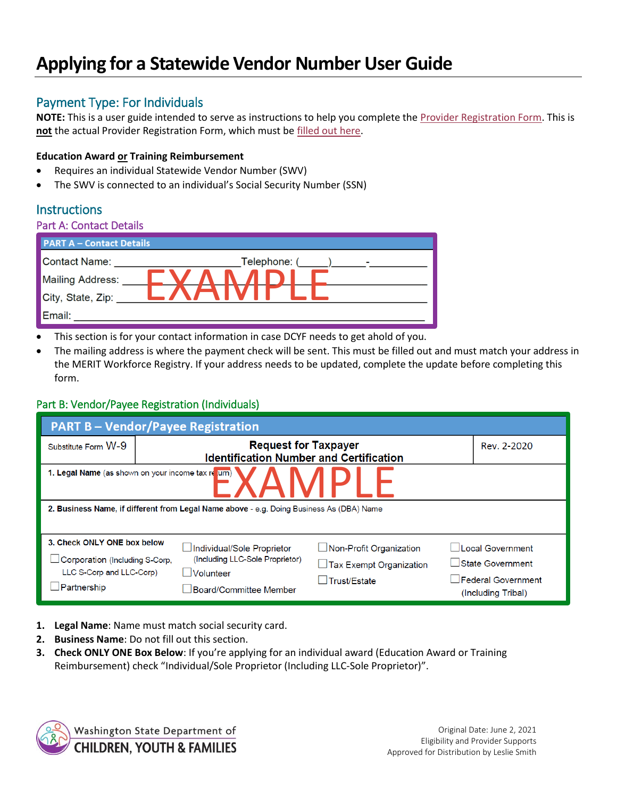# **Applying for a Statewide Vendor Number User Guide**

# Payment Type: For Individuals

**NOTE:** This is a user guide intended to serve as instructions to help you complete the [Provider Registration Form.](https://www.dcyf.wa.gov/sites/default/files/forms/ProviderRegistrationForm.pdf) This is **not** the actual Provider Registration Form, which must b[e filled out here.](https://www.dcyf.wa.gov/sites/default/files/forms/ProviderRegistrationForm.pdf)

#### **Education Award or Training Reimbursement**

- Requires an individual Statewide Vendor Number (SWV)
- The SWV is connected to an individual's Social Security Number (SSN)

## **Instructions**

#### Part A: Contact Details

| <b>PART A - Contact Details</b> |                   |  |  |  |
|---------------------------------|-------------------|--|--|--|
| Contact Name:                   | Telephone: (<br>٠ |  |  |  |
| <b>Mailing Address:</b>         |                   |  |  |  |
| City, State, Zip:               |                   |  |  |  |
| Email:                          |                   |  |  |  |

- This section is for your contact information in case DCYF needs to get ahold of you.
- The mailing address is where the payment check will be sent. This must be filled out and must match your address in the MERIT Workforce Registry. If your address needs to be updated, complete the update before completing this form.

### Part B: Vendor/Payee Registration (Individuals)

| <b>PART B-Vendor/Payee Registration</b>                                                                                 |                                                                                                                               |                                                                                                                                                      |  |  |  |
|-------------------------------------------------------------------------------------------------------------------------|-------------------------------------------------------------------------------------------------------------------------------|------------------------------------------------------------------------------------------------------------------------------------------------------|--|--|--|
| Substitute Form W-9                                                                                                     | <b>Request for Taxpayer</b><br><b>Identification Number and Certification</b>                                                 | Rev. 2-2020                                                                                                                                          |  |  |  |
| 1. Legal Name (as shown on your income tax re urn)                                                                      |                                                                                                                               |                                                                                                                                                      |  |  |  |
| 2. Business Name, if different from Legal Name above - e.g. Doing Business As (DBA) Name                                |                                                                                                                               |                                                                                                                                                      |  |  |  |
| 3. Check ONLY ONE box below<br>$\Box$ Corporation (Including S-Corp,<br>LLC S-Corp and LLC-Corp)<br><u>IPartnership</u> | Individual/Sole Proprietor<br>(Including LLC-Sole Proprietor)<br><b>Volunteer</b><br>□ Trust/Estate<br>Board/Committee Member | Local Government<br>$\Box$ Non-Profit Organization<br>State Government<br>$\Box$ Tax Exempt Organization<br>Federal Government<br>(Including Tribal) |  |  |  |

- **1. Legal Name**: Name must match social security card.
- **2. Business Name**: Do not fill out this section.
- **3. Check ONLY ONE Box Below**: If you're applying for an individual award (Education Award or Training Reimbursement) check "Individual/Sole Proprietor (Including LLC-Sole Proprietor)".